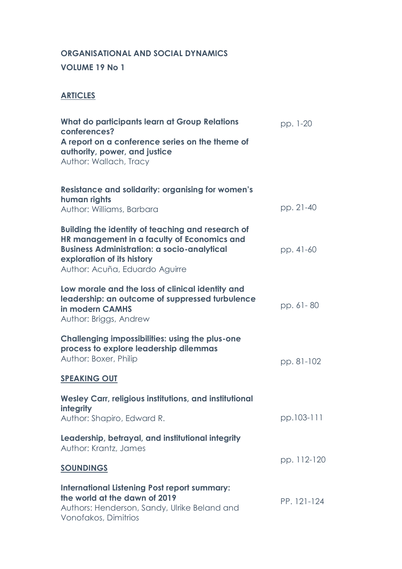# **ORGANISATIONAL AND SOCIAL DYNAMICS**

#### **VOLUME 19 No 1**

## **ARTICLES**

| What do participants learn at Group Relations<br>conferences?<br>A report on a conference series on the theme of<br>authority, power, and justice<br>Author: Wallach, Tracy                                                   | pp. 1-20    |
|-------------------------------------------------------------------------------------------------------------------------------------------------------------------------------------------------------------------------------|-------------|
| <b>Resistance and solidarity: organising for women's</b><br>human rights<br>Author: Williams, Barbara                                                                                                                         | pp. 21-40   |
| <b>Building the identity of teaching and research of</b><br>HR management in a faculty of Economics and<br><b>Business Administration: a socio-analytical</b><br>exploration of its history<br>Author: Acuña, Eduardo Aguirre | pp. 41-60   |
| Low morale and the loss of clinical identity and<br>leadership: an outcome of suppressed turbulence<br>in modern CAMHS<br>Author: Briggs, Andrew                                                                              | pp. 61-80   |
| <b>Challenging impossibilities: using the plus-one</b><br>process to explore leadership dilemmas<br>Author: Boxer, Philip<br><b>SPEAKING OUT</b>                                                                              | pp. 81-102  |
| Wesley Carr, religious institutions, and institutional<br>integrity                                                                                                                                                           |             |
| Author: Shapiro, Edward R.                                                                                                                                                                                                    | pp.103-111  |
| Leadership, betrayal, and institutional integrity<br>Author: Krantz, James                                                                                                                                                    |             |
| <b>SOUNDINGS</b>                                                                                                                                                                                                              | pp. 112-120 |
| <b>International Listening Post report summary:</b><br>the world at the dawn of 2019<br>Authors: Henderson, Sandy, Ulrike Beland and<br>Vonofakos, Dimitrios                                                                  | PP. 121-124 |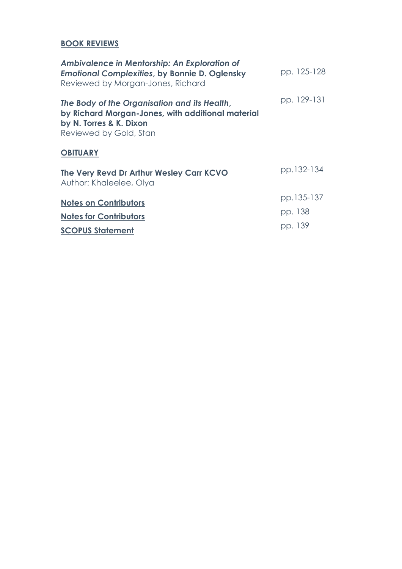## **BOOK REVIEWS**

| Ambivalence in Mentorship: An Exploration of<br><b>Emotional Complexities, by Bonnie D. Oglensky</b><br>Reviewed by Morgan-Jones, Richard              | pp. 125-128 |
|--------------------------------------------------------------------------------------------------------------------------------------------------------|-------------|
| The Body of the Organisation and its Health,<br>by Richard Morgan-Jones, with additional material<br>by N. Torres & K. Dixon<br>Reviewed by Gold, Stan | pp. 129-131 |
| <b>OBITUARY</b>                                                                                                                                        |             |
| The Very Revd Dr Arthur Wesley Carr KCVO<br>Author: Khaleelee, Olya                                                                                    | pp.132-134  |
| <b>Notes on Contributors</b>                                                                                                                           | pp.135-137  |
| <b>Notes for Contributors</b>                                                                                                                          | pp. 138     |
| <b>SCOPUS Statement</b>                                                                                                                                | pp. 139     |